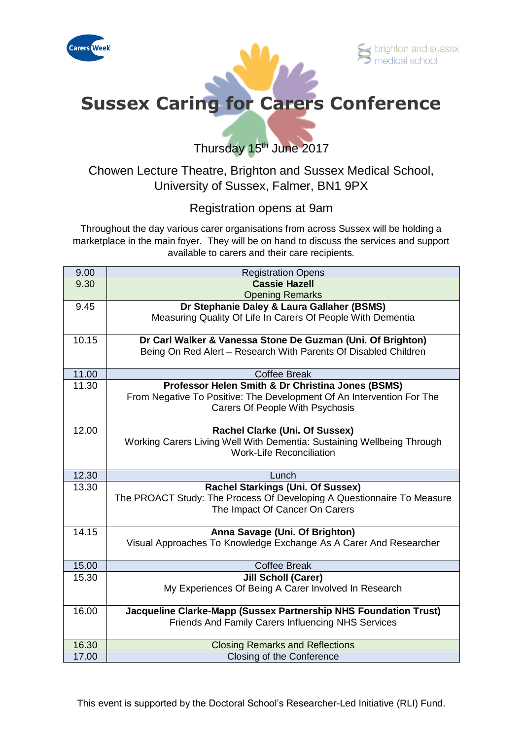





# **Sussex Caring for Carers Conference**

Thursday 15<sup>th</sup> June 2017

# Chowen Lecture Theatre, Brighton and Sussex Medical School, University of Sussex, Falmer, BN1 9PX

# Registration opens at 9am

Throughout the day various carer organisations from across Sussex will be holding a marketplace in the main foyer. They will be on hand to discuss the services and support available to carers and their care recipients.

| 9.00  | <b>Registration Opens</b>                                                                                 |
|-------|-----------------------------------------------------------------------------------------------------------|
| 9.30  | <b>Cassie Hazell</b>                                                                                      |
|       | <b>Opening Remarks</b>                                                                                    |
| 9.45  | Dr Stephanie Daley & Laura Gallaher (BSMS)                                                                |
|       | Measuring Quality Of Life In Carers Of People With Dementia                                               |
| 10.15 | Dr Carl Walker & Vanessa Stone De Guzman (Uni. Of Brighton)                                               |
|       | Being On Red Alert - Research With Parents Of Disabled Children                                           |
| 11.00 | <b>Coffee Break</b>                                                                                       |
| 11.30 | Professor Helen Smith & Dr Christina Jones (BSMS)                                                         |
|       | From Negative To Positive: The Development Of An Intervention For The<br>Carers Of People With Psychosis  |
|       |                                                                                                           |
| 12.00 | Rachel Clarke (Uni. Of Sussex)                                                                            |
|       | Working Carers Living Well With Dementia: Sustaining Wellbeing Through<br><b>Work-Life Reconciliation</b> |
|       |                                                                                                           |
| 12.30 | Lunch                                                                                                     |
| 13.30 | <b>Rachel Starkings (Uni. Of Sussex)</b>                                                                  |
|       |                                                                                                           |
|       | The PROACT Study: The Process Of Developing A Questionnaire To Measure<br>The Impact Of Cancer On Carers  |
| 14.15 |                                                                                                           |
|       | Anna Savage (Uni. Of Brighton)<br>Visual Approaches To Knowledge Exchange As A Carer And Researcher       |
| 15.00 | <b>Coffee Break</b>                                                                                       |
| 15.30 | <b>Jill Scholl (Carer)</b>                                                                                |
|       | My Experiences Of Being A Carer Involved In Research                                                      |
| 16.00 | Jacqueline Clarke-Mapp (Sussex Partnership NHS Foundation Trust)                                          |
|       | Friends And Family Carers Influencing NHS Services                                                        |
| 16.30 | <b>Closing Remarks and Reflections</b>                                                                    |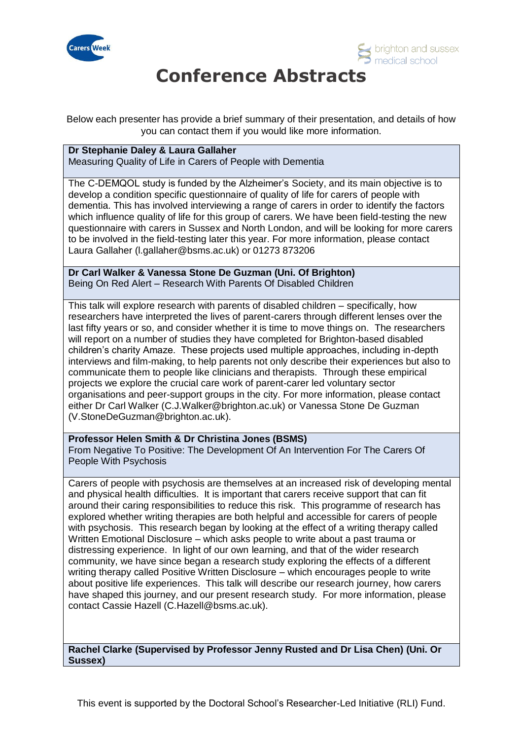



# **Conference Abstracts**

Below each presenter has provide a brief summary of their presentation, and details of how you can contact them if you would like more information.

# **Dr Stephanie Daley & Laura Gallaher**

Measuring Quality of Life in Carers of People with Dementia

The C-DEMQOL study is funded by the Alzheimer's Society, and its main objective is to develop a condition specific questionnaire of quality of life for carers of people with dementia. This has involved interviewing a range of carers in order to identify the factors which influence quality of life for this group of carers. We have been field-testing the new questionnaire with carers in Sussex and North London, and will be looking for more carers to be involved in the field-testing later this year. For more information, please contact Laura Gallaher (l.gallaher@bsms.ac.uk) or 01273 873206

**Dr Carl Walker & Vanessa Stone De Guzman (Uni. Of Brighton)** Being On Red Alert – Research With Parents Of Disabled Children

This talk will explore research with parents of disabled children – specifically, how researchers have interpreted the lives of parent-carers through different lenses over the last fifty years or so, and consider whether it is time to move things on. The researchers will report on a number of studies they have completed for Brighton-based disabled children's charity Amaze. These projects used multiple approaches, including in-depth interviews and film-making, to help parents not only describe their experiences but also to communicate them to people like clinicians and therapists. Through these empirical projects we explore the crucial care work of parent-carer led voluntary sector organisations and peer-support groups in the city. For more information, please contact either Dr Carl Walker (C.J.Walker@brighton.ac.uk) or Vanessa Stone De Guzman (V.StoneDeGuzman@brighton.ac.uk).

# **Professor Helen Smith & Dr Christina Jones (BSMS)**

From Negative To Positive: The Development Of An Intervention For The Carers Of People With Psychosis

Carers of people with psychosis are themselves at an increased risk of developing mental and physical health difficulties. It is important that carers receive support that can fit around their caring responsibilities to reduce this risk. This programme of research has explored whether writing therapies are both helpful and accessible for carers of people with psychosis. This research began by looking at the effect of a writing therapy called Written Emotional Disclosure – which asks people to write about a past trauma or distressing experience. In light of our own learning, and that of the wider research community, we have since began a research study exploring the effects of a different writing therapy called Positive Written Disclosure – which encourages people to write about positive life experiences. This talk will describe our research journey, how carers have shaped this journey, and our present research study. For more information, please contact Cassie Hazell (C.Hazell@bsms.ac.uk).

**Rachel Clarke (Supervised by Professor Jenny Rusted and Dr Lisa Chen) (Uni. Or Sussex)**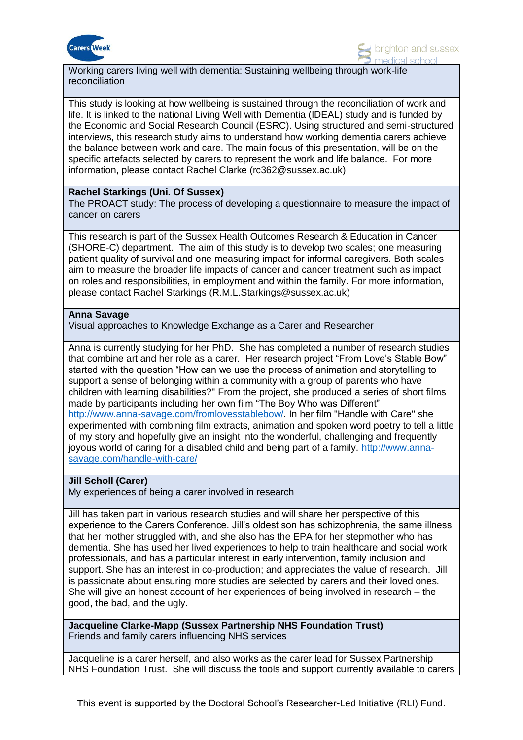



Working carers living well with dementia: Sustaining wellbeing through work-life reconciliation

This study is looking at how wellbeing is sustained through the reconciliation of work and life. It is linked to the national Living Well with Dementia (IDEAL) study and is funded by the Economic and Social Research Council (ESRC). Using structured and semi-structured interviews, this research study aims to understand how working dementia carers achieve the balance between work and care. The main focus of this presentation, will be on the specific artefacts selected by carers to represent the work and life balance. For more information, please contact Rachel Clarke (rc362@sussex.ac.uk)

#### **Rachel Starkings (Uni. Of Sussex)**

The PROACT study: The process of developing a questionnaire to measure the impact of cancer on carers

This research is part of the Sussex Health Outcomes Research & Education in Cancer (SHORE-C) department. The aim of this study is to develop two scales; one measuring patient quality of survival and one measuring impact for informal caregivers. Both scales aim to measure the broader life impacts of cancer and cancer treatment such as impact on roles and responsibilities, in employment and within the family. For more information, please contact Rachel Starkings (R.M.L.Starkings@sussex.ac.uk)

#### **Anna Savage**

Visual approaches to Knowledge Exchange as a Carer and Researcher

Anna is currently studying for her PhD. She has completed a number of research studies that combine art and her role as a carer. Her research project "From Love's Stable Bow" started with the question "How can we use the process of animation and storytelling to support a sense of belonging within a community with a group of parents who have children with learning disabilities?" From the project, she produced a series of short films made by participants including her own film "The Boy Who was Different" [http://www.anna-savage.com/fromlovesstablebow/.](http://www.anna-savage.com/fromlovesstablebow/) In her film "Handle with Care" she experimented with combining film extracts, animation and spoken word poetry to tell a little of my story and hopefully give an insight into the wonderful, challenging and frequently joyous world of caring for a disabled child and being part of a family. [http://www.anna](http://www.anna-savage.com/handle-with-care/)[savage.com/handle-with-care/](http://www.anna-savage.com/handle-with-care/)

# **Jill Scholl (Carer)**

My experiences of being a carer involved in research

Jill has taken part in various research studies and will share her perspective of this experience to the Carers Conference. Jill's oldest son has schizophrenia, the same illness that her mother struggled with, and she also has the EPA for her stepmother who has dementia. She has used her lived experiences to help to train healthcare and social work professionals, and has a particular interest in early intervention, family inclusion and support. She has an interest in co-production; and appreciates the value of research. Jill is passionate about ensuring more studies are selected by carers and their loved ones. She will give an honest account of her experiences of being involved in research – the good, the bad, and the ugly.

**Jacqueline Clarke-Mapp (Sussex Partnership NHS Foundation Trust)** Friends and family carers influencing NHS services

Jacqueline is a carer herself, and also works as the carer lead for Sussex Partnership NHS Foundation Trust. She will discuss the tools and support currently available to carers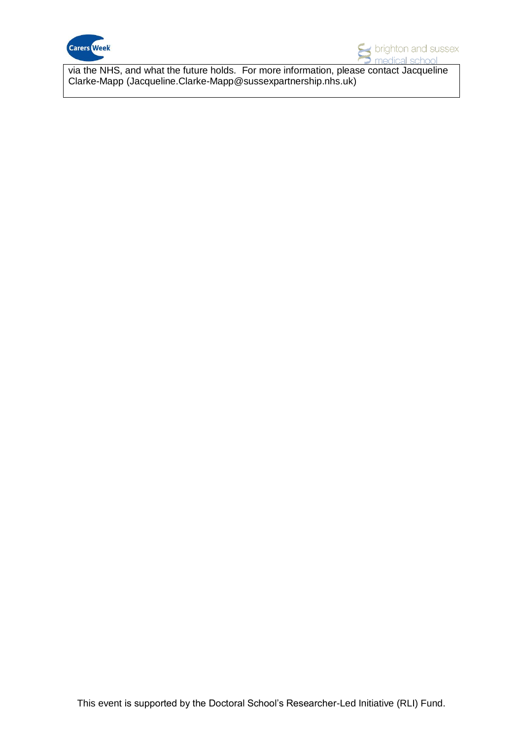



via the NHS, and what the future holds. For more information, please contact Jacqueline Clarke-Mapp (Jacqueline.Clarke-Mapp@sussexpartnership.nhs.uk)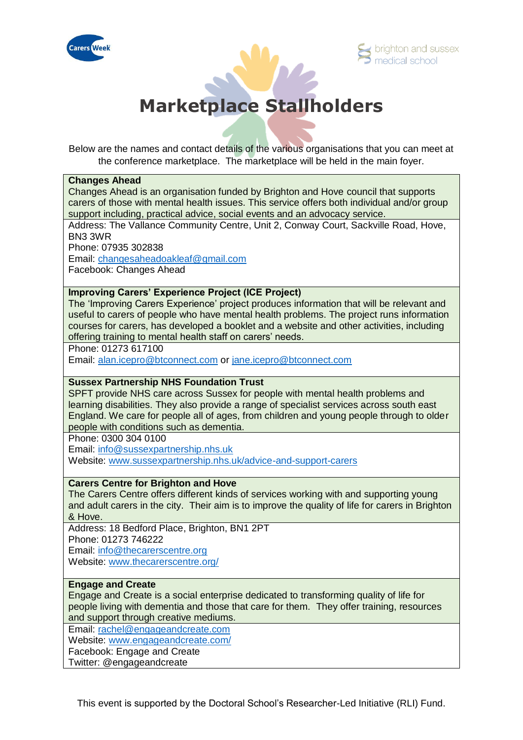





**Marketplace Stallholders**

Below are the names and contact details of the various organisations that you can meet at the conference marketplace. The marketplace will be held in the main foyer.

#### **Changes Ahead**

Changes Ahead is an organisation funded by Brighton and Hove council that supports carers of those with mental health issues. This service offers both individual and/or group support including, practical advice, social events and an advocacy service.

Address: The Vallance Community Centre, Unit 2, Conway Court, Sackville Road, Hove, BN3 3WR

Phone: 07935 302838

Email: [changesaheadoakleaf@gmail.com](mailto:changesaheadoakleaf@gmail.com)

Facebook: Changes Ahead

### **Improving Carers' Experience Project (ICE Project)**

The 'Improving Carers Experience' project produces information that will be relevant and useful to carers of people who have mental health problems. The project runs information courses for carers, has developed a booklet and a website and other activities, including offering training to mental health staff on carers' needs.

Phone: 01273 617100

Email: [alan.icepro@btconnect.com](mailto:alan.icepro@btconnect.com) o[r jane.icepro@btconnect.com](mailto:jane.icepro@btconnect.com)

#### **Sussex Partnership NHS Foundation Trust**

SPFT provide NHS care across Sussex for people with mental health problems and learning disabilities. They also provide a range of specialist services across south east England. We care for people all of ages, from children and young people through to older people with conditions such as dementia.

Phone: 0300 304 0100

Email: [info@sussexpartnership.nhs.uk](mailto:info@sussexpartnership.nhs.uk)

Website: [www.sussexpartnership.nhs.uk/advice-and-support-carers](http://www.sussexpartnership.nhs.uk/advice-and-support-carers)

#### **Carers Centre for Brighton and Hove**

The Carers Centre offers different kinds of services working with and supporting young and adult carers in the city. Their aim is to improve the quality of life for carers in Brighton & Hove.

Address: 18 Bedford Place, Brighton, BN1 2PT Phone: 01273 746222 Email: [info@thecarerscentre.org](mailto:info@thecarerscentre.org)

Website: [www.thecarerscentre.org/](http://www.thecarerscentre.org/)

# **Engage and Create**

Engage and Create is a social enterprise dedicated to transforming quality of life for people living with dementia and those that care for them. They offer training, resources and support through creative mediums.

Email: [rachel@engageandcreate.com](mailto:rachel@engageandcreate.com) Website: [www.engageandcreate.com/](http://www.engageandcreate.com/) Facebook: Engage and Create

Twitter: @engageandcreate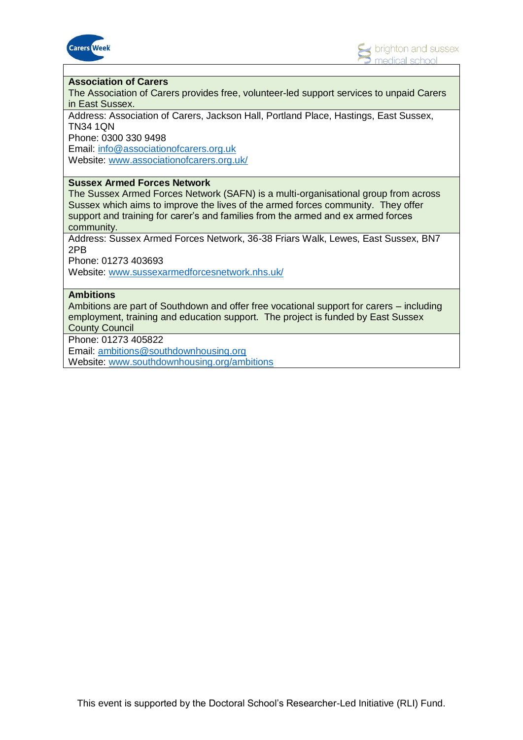



# **Association of Carers**

The Association of Carers provides free, volunteer-led support services to unpaid Carers in East Sussex.

Address: Association of Carers, Jackson Hall, Portland Place, Hastings, East Sussex, TN34 1QN

Phone: 0300 330 9498 Email: [info@associationofcarers.org.uk](mailto:info@associationofcarers.org.uk) Website: [www.associationofcarers.org.uk/](http://www.associationofcarers.org.uk/)

# **Sussex Armed Forces Network**

The Sussex Armed Forces Network (SAFN) is a multi-organisational group from across Sussex which aims to improve the lives of the armed forces community. They offer support and training for carer's and families from the armed and ex armed forces community.

Address: Sussex Armed Forces Network, 36-38 Friars Walk, Lewes, East Sussex, BN7 2PB

Phone: 01273 403693

Website: [www.sussexarmedforcesnetwork.nhs.uk/](http://www.sussexarmedforcesnetwork.nhs.uk/)

#### **Ambitions**

Ambitions are part of Southdown and offer free vocational support for carers – including employment, training and education support. The project is funded by East Sussex County Council

Phone: 01273 405822

Email: [ambitions@southdownhousing.org](mailto:ambitions@southdownhousing.org) Website: [www.southdownhousing.org/ambitions](http://www.southdownhousing.org/ambitions)